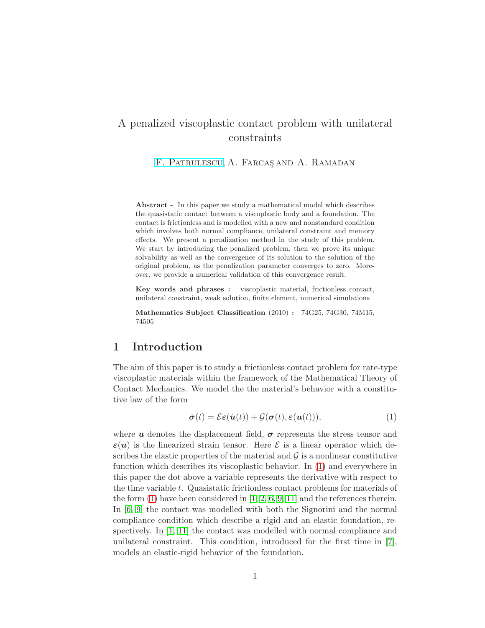# A penalized viscoplastic contact problem with unilateral constraints

F. PATRULESCU, A. FARCAS AND A. RAMADAN

Abstract - In this paper we study a mathematical model which describes the quasistatic contact between a viscoplastic body and a foundation. The contact is frictionless and is modelled with a new and nonstandard condition which involves both normal compliance, unilateral constraint and memory effects. We present a penalization method in the study of this problem. We start by introducing the penalized problem, then we prove its unique solvability as well as the convergence of its solution to the solution of the original problem, as the penalization parameter converges to zero. Moreover, we provide a numerical validation of this convergence result.

Key words and phrases : viscoplastic material, frictionless contact, unilateral constraint, weak solution, finite element, numerical simulations

Mathematics Subject Classification (2010) : 74G25, 74G30, 74M15, 74505

### <span id="page-0-1"></span>1 Introduction

The aim of this paper is to study a frictionless contact problem for rate-type viscoplastic materials within the framework of the Mathematical Theory of Contact Mechanics. We model the the material's behavior with a constitutive law of the form

<span id="page-0-0"></span>
$$
\dot{\boldsymbol{\sigma}}(t) = \mathcal{E}\boldsymbol{\varepsilon}(\dot{\boldsymbol{u}}(t)) + \mathcal{G}(\boldsymbol{\sigma}(t), \boldsymbol{\varepsilon}(\boldsymbol{u}(t))), \qquad (1)
$$

where u denotes the displacement field,  $\sigma$  represents the stress tensor and  $\varepsilon(u)$  is the linearized strain tensor. Here  $\mathcal E$  is a linear operator which describes the elastic properties of the material and  $\mathcal G$  is a nonlinear constitutive function which describes its viscoplastic behavior. In [\(1\)](#page-0-0) and everywhere in this paper the dot above a variable represents the derivative with respect to the time variable t. Quasistatic frictionless contact problems for materials of the form  $(1)$  have been considered in  $[1, 2, 6, 9, 11]$  $[1, 2, 6, 9, 11]$  $[1, 2, 6, 9, 11]$  $[1, 2, 6, 9, 11]$  $[1, 2, 6, 9, 11]$  and the references therein. In [\[6,](#page-14-0) [9\]](#page-14-1) the contact was modelled with both the Signorini and the normal compliance condition which describe a rigid and an elastic foundation, respectively. In [\[1,](#page-13-0) [11\]](#page-14-2) the contact was modelled with normal compliance and unilateral constraint. This condition, introduced for the first time in [\[7\]](#page-14-3), models an elastic-rigid behavior of the foundation.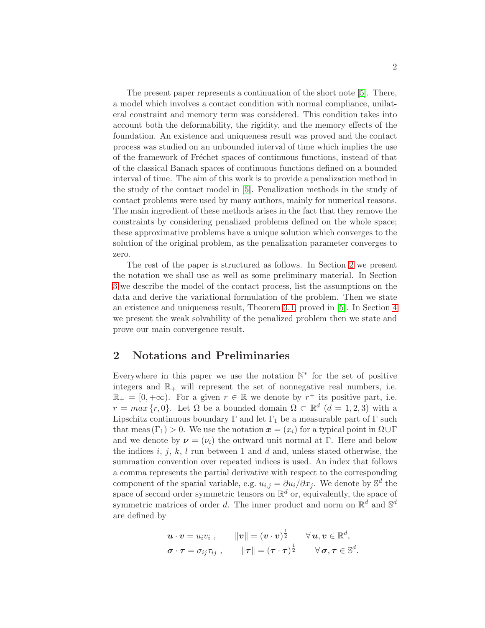The present paper represents a continuation of the short note [\[5\]](#page-14-4). There, a model which involves a contact condition with normal compliance, unilateral constraint and memory term was considered. This condition takes into account both the deformability, the rigidity, and the memory effects of the foundation. An existence and uniqueness result was proved and the contact process was studied on an unbounded interval of time which implies the use of the framework of Fr´echet spaces of continuous functions, instead of that of the classical Banach spaces of continuous functions defined on a bounded interval of time. The aim of this work is to provide a penalization method in the study of the contact model in [\[5\]](#page-14-4). Penalization methods in the study of contact problems were used by many authors, mainly for numerical reasons. The main ingredient of these methods arises in the fact that they remove the constraints by considering penalized problems defined on the whole space; these approximative problems have a unique solution which converges to the solution of the original problem, as the penalization parameter converges to zero.

The rest of the paper is structured as follows. In Section [2](#page-1-0) we present the notation we shall use as well as some preliminary material. In Section [3](#page-3-0) we describe the model of the contact process, list the assumptions on the data and derive the variational formulation of the problem. Then we state an existence and uniqueness result, Theorem [3.1,](#page-6-0) proved in [\[5\]](#page-14-4). In Section [4](#page-6-1) we present the weak solvability of the penalized problem then we state and prove our main convergence result.

### <span id="page-1-0"></span>2 Notations and Preliminaries

Everywhere in this paper we use the notation  $\mathbb{N}^*$  for the set of positive integers and  $\mathbb{R}_+$  will represent the set of nonnegative real numbers, i.e.  $\mathbb{R}_+ = [0, +\infty)$ . For a given  $r \in \mathbb{R}$  we denote by  $r^+$  its positive part, i.e.  $r = max\{r, 0\}$ . Let  $\Omega$  be a bounded domain  $\Omega \subset \mathbb{R}^d$   $(d = 1, 2, 3)$  with a Lipschitz continuous boundary  $\Gamma$  and let  $\Gamma_1$  be a measurable part of  $\Gamma$  such that meas  $(\Gamma_1) > 0$ . We use the notation  $x = (x_i)$  for a typical point in  $\Omega \cup \Gamma$ and we denote by  $\mathbf{v} = (v_i)$  the outward unit normal at Γ. Here and below the indices i, j, k, l run between 1 and d and, unless stated otherwise, the summation convention over repeated indices is used. An index that follows a comma represents the partial derivative with respect to the corresponding component of the spatial variable, e.g.  $u_{i,j} = \partial u_i / \partial x_j$ . We denote by  $\mathbb{S}^d$  the space of second order symmetric tensors on  $\mathbb{R}^d$  or, equivalently, the space of symmetric matrices of order d. The inner product and norm on  $\mathbb{R}^d$  and  $\mathbb{S}^d$ are defined by

$$
\begin{aligned}\n\boldsymbol{u} \cdot \boldsymbol{v} &= u_i v_i \;, \qquad \|\boldsymbol{v}\| = (\boldsymbol{v} \cdot \boldsymbol{v})^{\frac{1}{2}} \qquad \forall \, \boldsymbol{u}, \boldsymbol{v} \in \mathbb{R}^d, \\
\boldsymbol{\sigma} \cdot \boldsymbol{\tau} &= \sigma_{ij} \tau_{ij} \;, \qquad \|\boldsymbol{\tau}\| = (\boldsymbol{\tau} \cdot \boldsymbol{\tau})^{\frac{1}{2}} \qquad \forall \, \boldsymbol{\sigma}, \boldsymbol{\tau} \in \mathbb{S}^d.\n\end{aligned}
$$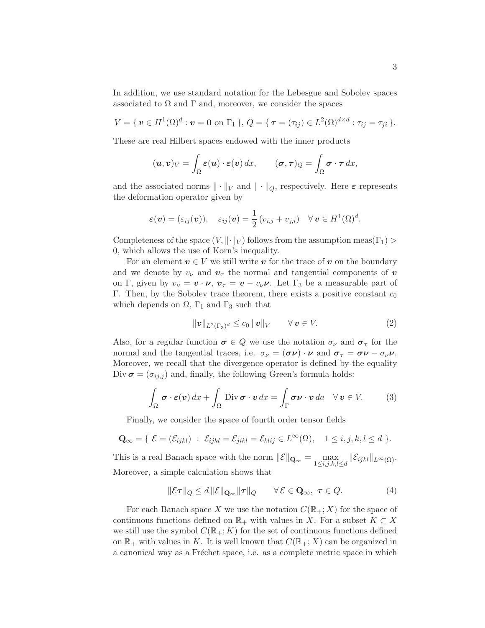In addition, we use standard notation for the Lebesgue and Sobolev spaces associated to  $\Omega$  and  $\Gamma$  and, moreover, we consider the spaces

$$
V = \{ \, \mathbf{v} \in H^{1}(\Omega)^{d} : \mathbf{v} = \mathbf{0} \text{ on } \Gamma_{1} \, \}, \, Q = \{ \, \boldsymbol{\tau} = (\tau_{ij}) \in L^{2}(\Omega)^{d \times d} : \tau_{ij} = \tau_{ji} \, \}.
$$

These are real Hilbert spaces endowed with the inner products

$$
(\boldsymbol{u},\boldsymbol{v})_V=\int_{\Omega}\boldsymbol{\varepsilon}(\boldsymbol{u})\cdot\boldsymbol{\varepsilon}(\boldsymbol{v})\,dx,\qquad(\boldsymbol{\sigma},\boldsymbol{\tau})_Q=\int_{\Omega}\boldsymbol{\sigma}\cdot\boldsymbol{\tau}\,dx,
$$

and the associated norms  $\|\cdot\|_V$  and  $\|\cdot\|_Q$ , respectively. Here  $\varepsilon$  represents the deformation operator given by

$$
\boldsymbol{\varepsilon}(\boldsymbol{v})=(\varepsilon_{ij}(\boldsymbol{v})),\quad \varepsilon_{ij}(\boldsymbol{v})=\frac{1}{2}(v_{i,j}+v_{j,i})\quad \forall \, \boldsymbol{v}\in H^1(\Omega)^d.
$$

Completeness of the space  $(V, \|\cdot\|_V)$  follows from the assumption meas( $\Gamma_1$ ) 0, which allows the use of Korn's inequality.

For an element  $v \in V$  we still write v for the trace of v on the boundary and we denote by  $v_{\nu}$  and  $v_{\tau}$  the normal and tangential components of  $\boldsymbol{v}$ on Γ, given by  $v_{\nu} = \mathbf{v} \cdot \mathbf{\nu}$ ,  $\mathbf{v}_{\tau} = \mathbf{v} - v_{\nu} \mathbf{\nu}$ . Let Γ<sub>3</sub> be a measurable part of Γ. Then, by the Sobolev trace theorem, there exists a positive constant  $c_0$ which depends on  $\Omega$ ,  $\Gamma_1$  and  $\Gamma_3$  such that

$$
\|\mathbf{v}\|_{L^2(\Gamma_3)^d} \le c_0 \|\mathbf{v}\|_V \qquad \forall \mathbf{v} \in V. \tag{2}
$$

Also, for a regular function  $\sigma \in Q$  we use the notation  $\sigma_{\nu}$  and  $\sigma_{\tau}$  for the normal and the tangential traces, i.e.  $\sigma_{\nu} = (\sigma \nu) \cdot \nu$  and  $\sigma_{\tau} = \sigma \nu - \sigma_{\nu} \nu$ . Moreover, we recall that the divergence operator is defined by the equality Div  $\sigma = (\sigma_{ij,j})$  and, finally, the following Green's formula holds:

$$
\int_{\Omega} \boldsymbol{\sigma} \cdot \boldsymbol{\varepsilon}(\boldsymbol{v}) dx + \int_{\Omega} \text{Div } \boldsymbol{\sigma} \cdot \boldsymbol{v} dx = \int_{\Gamma} \boldsymbol{\sigma} \boldsymbol{\nu} \cdot \boldsymbol{v} da \quad \forall \, \boldsymbol{v} \in V. \tag{3}
$$

Finally, we consider the space of fourth order tensor fields

$$
\mathbf{Q}_{\infty} = \{ \ \mathcal{E} = (\mathcal{E}_{ijkl}) \ : \ \mathcal{E}_{ijkl} = \mathcal{E}_{jikl} = \mathcal{E}_{klij} \in L^{\infty}(\Omega), \quad 1 \leq i, j, k, l \leq d \ \}.
$$

This is a real Banach space with the norm  $||\mathcal{E}||_{\mathbf{Q}_{\infty}} = \max_{1 \leq i,j,k,l \leq d} ||\mathcal{E}_{ijkl}||_{L^{\infty}(\Omega)}$ . Moreover, a simple calculation shows that

$$
\|\mathcal{E}\boldsymbol{\tau}\|_{Q} \le d \|\mathcal{E}\|_{\mathbf{Q}_{\infty}} \|\boldsymbol{\tau}\|_{Q} \qquad \forall \mathcal{E} \in \mathbf{Q}_{\infty}, \ \boldsymbol{\tau} \in Q. \tag{4}
$$

For each Banach space X we use the notation  $C(\mathbb{R}_+;X)$  for the space of continuous functions defined on  $\mathbb{R}_+$  with values in X. For a subset  $K \subset X$ we still use the symbol  $C(\mathbb{R}_+; K)$  for the set of continuous functions defined on  $\mathbb{R}_+$  with values in K. It is well known that  $C(\mathbb{R}_+; X)$  can be organized in a canonical way as a Fréchet space, i.e. as a complete metric space in which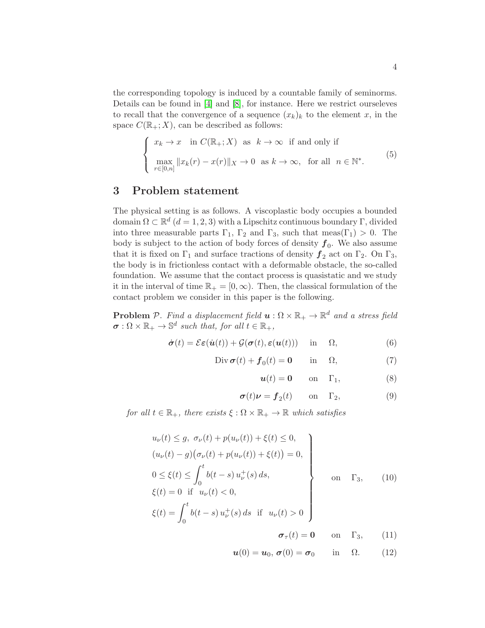the corresponding topology is induced by a countable family of seminorms. Details can be found in [\[4\]](#page-14-5) and [\[8\]](#page-14-6), for instance. Here we restrict ourseleves to recall that the convergence of a sequence  $(x_k)_k$  to the element x, in the space  $C(\mathbb{R}_+;X)$ , can be described as follows:

$$
\begin{cases}\n x_k \to x \quad \text{in } C(\mathbb{R}_+; X) \quad \text{as } k \to \infty \quad \text{if and only if} \\
 \max_{r \in [0,n]} \|x_k(r) - x(r)\|_X \to 0 \quad \text{as } k \to \infty, \quad \text{for all } n \in \mathbb{N}^*.\n\end{cases}
$$
\n(5)

## <span id="page-3-0"></span>3 Problem statement

The physical setting is as follows. A viscoplastic body occupies a bounded domain  $\Omega \subset \mathbb{R}^d$   $(d = 1, 2, 3)$  with a Lipschitz continuous boundary  $\Gamma$ , divided into three measurable parts  $\Gamma_1$ ,  $\Gamma_2$  and  $\Gamma_3$ , such that meas( $\Gamma_1$ ) > 0. The body is subject to the action of body forces of density  $f_0$ . We also assume that it is fixed on  $\Gamma_1$  and surface tractions of density  $f_2$  act on  $\Gamma_2$ . On  $\Gamma_3$ , the body is in frictionless contact with a deformable obstacle, the so-called foundation. We assume that the contact process is quasistatic and we study it in the interval of time  $\mathbb{R}_+ = [0, \infty)$ . Then, the classical formulation of the contact problem we consider in this paper is the following.

**Problem** P. Find a displacement field  $u : \Omega \times \mathbb{R}_+ \to \mathbb{R}^d$  and a stress field  $\sigma : \Omega \times \mathbb{R}_+ \to \mathbb{S}^d$  such that, for all  $t \in \mathbb{R}_+$ ,

<span id="page-3-1"></span>
$$
\dot{\boldsymbol{\sigma}}(t) = \mathcal{E}\boldsymbol{\varepsilon}(\dot{\boldsymbol{u}}(t)) + \mathcal{G}(\boldsymbol{\sigma}(t), \boldsymbol{\varepsilon}(\boldsymbol{u}(t))) \quad \text{in} \quad \Omega,
$$
\n(6)

$$
\text{Div}\,\boldsymbol{\sigma}(t) + \boldsymbol{f}_0(t) = \mathbf{0} \qquad \text{in} \quad \Omega,\tag{7}
$$

$$
\mathbf{u}(t) = \mathbf{0} \qquad \text{on} \quad \Gamma_1,\tag{8}
$$

$$
\sigma(t)\nu = f_2(t) \qquad \text{on} \quad \Gamma_2,
$$
 (9)

for all  $t \in \mathbb{R}_+$ , there exists  $\xi : \Omega \times \mathbb{R}_+ \to \mathbb{R}$  which satisfies

<span id="page-3-2"></span>
$$
u_{\nu}(t) \leq g, \ \sigma_{\nu}(t) + p(u_{\nu}(t)) + \xi(t) \leq 0,(u_{\nu}(t) - g)(\sigma_{\nu}(t) + p(u_{\nu}(t)) + \xi(t)) = 0,0 \leq \xi(t) \leq \int_{0}^{t} b(t - s) u_{\nu}^{+}(s) ds,\xi(t) = 0 \quad \text{if} \quad u_{\nu}(t) < 0,\xi(t) = \int_{0}^{t} b(t - s) u_{\nu}^{+}(s) ds \quad \text{if} \quad u_{\nu}(t) > 0\sigma_{\tau}(t) = 0 \quad \text{on} \quad \Gamma_{3}, \qquad (11)
$$

$$
\boldsymbol{u}(0) = \boldsymbol{u}_0, \, \boldsymbol{\sigma}(0) = \boldsymbol{\sigma}_0 \qquad \text{in} \quad \Omega. \tag{12}
$$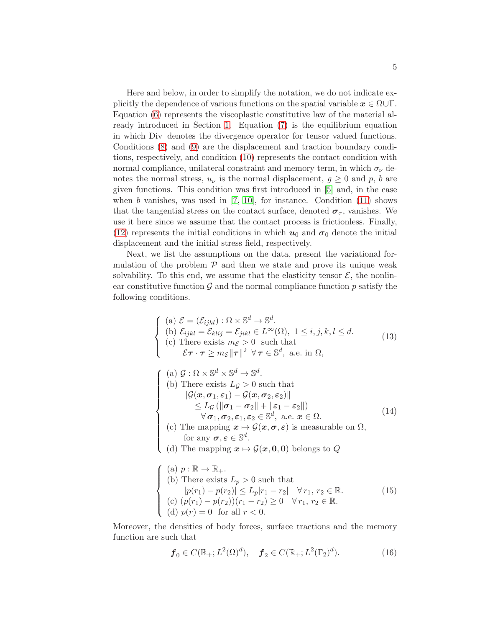Here and below, in order to simplify the notation, we do not indicate explicitly the dependence of various functions on the spatial variable  $x \in \Omega \cup \Gamma$ . Equation [\(6\)](#page-3-1) represents the viscoplastic constitutive law of the material already introduced in Section [1.](#page-0-1) Equation [\(7\)](#page-3-1) is the equilibrium equation in which Div denotes the divergence operator for tensor valued functions. Conditions [\(8\)](#page-3-1) and [\(9\)](#page-3-1) are the displacement and traction boundary conditions, respectively, and condition [\(10\)](#page-3-2) represents the contact condition with normal compliance, unilateral constraint and memory term, in which  $\sigma_{\nu}$  denotes the normal stress,  $u_{\nu}$  is the normal displacement,  $g \geq 0$  and p, b are given functions. This condition was first introduced in [\[5\]](#page-14-4) and, in the case when  $b$  vanishes, was used in  $[7, 10]$  $[7, 10]$ , for instance. Condition  $(11)$  shows that the tangential stress on the contact surface, denoted  $\sigma_{\tau}$ , vanishes. We use it here since we assume that the contact process is frictionless. Finally, [\(12\)](#page-3-2) represents the initial conditions in which  $u_0$  and  $\sigma_0$  denote the initial displacement and the initial stress field, respectively.

Next, we list the assumptions on the data, present the variational formulation of the problem  $P$  and then we state and prove its unique weak solvability. To this end, we assume that the elasticity tensor  $\mathcal{E}$ , the nonlinear constitutive function  $\mathcal G$  and the normal compliance function p satisfy the following conditions.

<span id="page-4-1"></span><span id="page-4-0"></span>
$$
\begin{cases}\n(a) \mathcal{E} = (\mathcal{E}_{ijkl}) : \Omega \times \mathbb{S}^{d} \to \mathbb{S}^{d}.\n\\ \n(b) \mathcal{E}_{ijkl} = \mathcal{E}_{klij} = \mathcal{E}_{jikl} \in L^{\infty}(\Omega), 1 \leq i, j, k, l \leq d.\n\\ \n(c) There exists  $m_{\mathcal{E}} > 0$  such that\n $\mathcal{E}\tau \cdot \tau \geq m_{\mathcal{E}} ||\tau||^{2} \ \forall \tau \in \mathbb{S}^{d}, \text{ a.e. in } \Omega,\n\\ \n(a) \mathcal{G} : \Omega \times \mathbb{S}^{d} \times \mathbb{S}^{d} \to \mathbb{S}^{d}.\n\\ \n(b) There exists  $L_{\mathcal{G}} > 0$  such that\n $||\mathcal{G}(\mathbf{x}, \sigma_{1}, \varepsilon_{1}) - \mathcal{G}(\mathbf{x}, \sigma_{2}, \varepsilon_{2})|| \leq L_{\mathcal{G}} (||\sigma_{1} - \sigma_{2}|| + ||\varepsilon_{1} - \varepsilon_{2}||)\n\\ \n $\forall \sigma_{1}, \sigma_{2}, \varepsilon_{1}, \varepsilon_{2} \in \mathbb{S}^{d}, \text{ a.e. } \mathbf{x} \in \Omega.\n\\ \n(c) The mapping  $\mathbf{x} \mapsto \mathcal{G}(\mathbf{x}, \sigma, \varepsilon)$  is measurable on  $\Omega$ , for any  $\sigma, \varepsilon \in \mathbb{S}^{d}$ .\n\\ \n(d) The mapping  $\mathbf{x} \mapsto \mathcal{G}(\mathbf{x}, \mathbf{0}, \mathbf{0})$  belongs to  $\mathcal{Q}$ \n
$$
\n\begin{cases}\n(a) p : \mathbb{R} \to \mathbb{R}_{+} \\
(b) \text{ There exists } L_{p} > 0 \text{ such that} \\
|p(r_{1}) - p(r_{2})| \leq L_{p}|r_{1} - r_{2}| \quad \forall r_{1}, r_{2} \in \mathbb{R}.\n\end{cases}\n\tag{15}\n\\ \n(c) (p(r_{1}) - p(r_{2})) (r_{1} - r_{2}) \geq 0 \quad \forall r_{1}, r_{2} \in \mathbb{R}.\n\end{cases}
$$$$$
$$

<span id="page-4-2"></span>Moreover, the densities of body forces, surface tractions and the memory function are such that

<span id="page-4-3"></span>
$$
\mathbf{f}_0 \in C(\mathbb{R}_+; L^2(\Omega)^d), \quad \mathbf{f}_2 \in C(\mathbb{R}_+; L^2(\Gamma_2)^d). \tag{16}
$$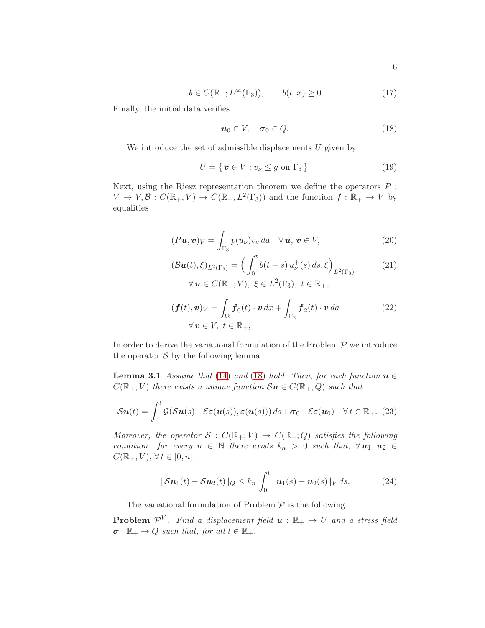<span id="page-5-4"></span>
$$
b \in C(\mathbb{R}_+; L^{\infty}(\Gamma_3)), \qquad b(t, x) \ge 0 \tag{17}
$$

Finally, the initial data verifies

<span id="page-5-0"></span>
$$
u_0 \in V, \quad \sigma_0 \in Q. \tag{18}
$$

We introduce the set of admissible displacements  $U$  given by

<span id="page-5-2"></span>
$$
U = \{ \mathbf{v} \in V : v_{\nu} \le g \text{ on } \Gamma_3 \}. \tag{19}
$$

Next, using the Riesz representation theorem we define the operators  $P$ :  $V \to V, \mathcal{B}: C(\mathbb{R}_+, V) \to C(\mathbb{R}_+, L^2(\Gamma_3))$  and the function  $f : \mathbb{R}_+ \to V$  by equalities

<span id="page-5-3"></span>
$$
(Pu, v)V = \int_{\Gamma_3} p(u_{\nu}) v_{\nu} da \quad \forall \, u, \, v \in V,
$$
\n(20)

$$
(\mathcal{B}u(t), \xi)_{L^2(\Gamma_3)} = \left(\int_0^t b(t-s) u^+_{\nu}(s) ds, \xi\right)_{L^2(\Gamma_3)}
$$
\n
$$
\forall u \in C(\mathbb{R}_+; V), \xi \in L^2(\Gamma_3), t \in \mathbb{R}_+,
$$
\n(21)

$$
(\boldsymbol{f}(t), \boldsymbol{v})_V = \int_{\Omega} \boldsymbol{f}_0(t) \cdot \boldsymbol{v} \, dx + \int_{\Gamma_2} \boldsymbol{f}_2(t) \cdot \boldsymbol{v} \, da \tag{22}
$$

$$
\forall \, \boldsymbol{v} \in V, \ t \in \mathbb{R}_+,
$$

<span id="page-5-1"></span>In order to derive the variational formulation of the Problem  $P$  we introduce the operator  $S$  by the following lemma.

**Lemma 3.1** Assume that [\(14\)](#page-4-0) and [\(18\)](#page-5-0) hold. Then, for each function  $u \in$  $C(\mathbb{R}_+; V)$  there exists a unique function  $\mathcal{S}u \in C(\mathbb{R}_+; Q)$  such that

<span id="page-5-5"></span>
$$
\mathcal{S}\boldsymbol{u}(t) = \int_0^t \mathcal{G}(\mathcal{S}\boldsymbol{u}(s) + \mathcal{E}\boldsymbol{\varepsilon}(\boldsymbol{u}(s)), \boldsymbol{\varepsilon}(\boldsymbol{u}(s))) ds + \boldsymbol{\sigma}_0 - \mathcal{E}\boldsymbol{\varepsilon}(\boldsymbol{u}_0) \quad \forall t \in \mathbb{R}_+.
$$
 (23)

Moreover, the operator  $S : C(\mathbb{R}_+; V) \to C(\mathbb{R}_+; Q)$  satisfies the following condition: for every  $n \in \mathbb{N}$  there exists  $k_n > 0$  such that,  $\forall u_1, u_2 \in$  $C(\mathbb{R}_+; V), \forall t \in [0, n],$ 

<span id="page-5-6"></span>
$$
\|\mathcal{S}u_1(t) - \mathcal{S}u_2(t)\|_{Q} \le k_n \int_0^t \|\mathbf{u}_1(s) - \mathbf{u}_2(s)\|_{V} ds.
$$
 (24)

The variational formulation of Problem  $P$  is the following.

**Problem**  $\mathcal{P}^V$ . Find a displacement field  $u : \mathbb{R}_+ \to U$  and a stress field  $\sigma : \mathbb{R}_+ \to Q$  such that, for all  $t \in \mathbb{R}_+$ ,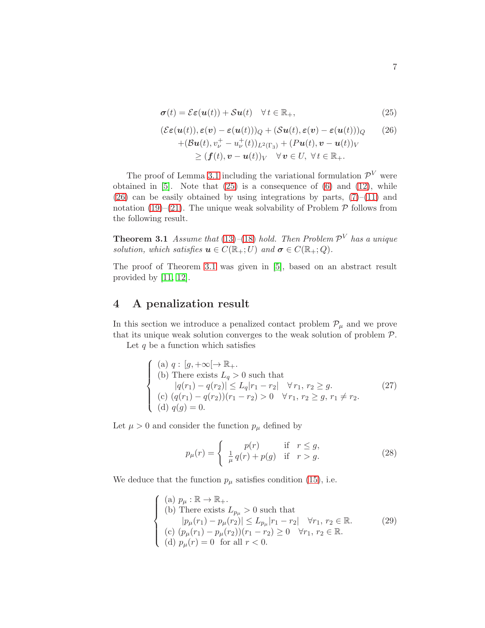<span id="page-6-2"></span>
$$
\boldsymbol{\sigma}(t) = \mathcal{E}\boldsymbol{\varepsilon}(\boldsymbol{u}(t)) + \mathcal{S}\boldsymbol{u}(t) \quad \forall \, t \in \mathbb{R}_+, \tag{25}
$$

$$
(\mathcal{E}\varepsilon(\mathbf{u}(t)), \varepsilon(\mathbf{v}) - \varepsilon(\mathbf{u}(t)))Q + (\mathcal{S}\mathbf{u}(t), \varepsilon(\mathbf{v}) - \varepsilon(\mathbf{u}(t)))Q \qquad (26)
$$
  
+
$$
(\mathcal{B}\mathbf{u}(t), v_v^+ - u_v^+(t))_{L^2(\Gamma_3)} + (P\mathbf{u}(t), \mathbf{v} - \mathbf{u}(t))_V
$$
  

$$
\geq (\mathbf{f}(t), \mathbf{v} - \mathbf{u}(t))_V \quad \forall \mathbf{v} \in U, \forall t \in \mathbb{R}_+.
$$

The proof of Lemma [3.1](#page-5-1) including the variational formulation  $\mathcal{P}^V$  were obtained in  $[5]$ . Note that  $(25)$  is a consequence of  $(6)$  and  $(12)$ , while  $(26)$  can be easily obtained by using integrations by parts,  $(7)$ – $(11)$  and notation [\(19\)](#page-5-2)–[\(21\)](#page-5-3). The unique weak solvability of Problem  $P$  follows from the following result.

<span id="page-6-0"></span>**Theorem 3.1** Assume that [\(13\)](#page-4-1)–[\(18\)](#page-5-0) hold. Then Problem  $\mathcal{P}^V$  has a unique solution, which satisfies  $u \in C(\mathbb{R}_+;U)$  and  $\sigma \in C(\mathbb{R}_+;Q)$ .

The proof of Theorem [3.1](#page-6-0) was given in [\[5\]](#page-14-4), based on an abstract result provided by [\[11,](#page-14-2) [12\]](#page-14-8).

## <span id="page-6-1"></span>4 A penalization result

In this section we introduce a penalized contact problem  $\mathcal{P}_{\mu}$  and we prove that its unique weak solution converges to the weak solution of problem  $P$ .

Let  $q$  be a function which satisfies

$$
\begin{cases}\n(a) \ q: [g, +\infty[ \to \mathbb{R}_+).\n(b) There exists  $L_q > 0$  such that  
\n $|q(r_1) - q(r_2)| \le L_q |r_1 - r_2| \quad \forall r_1, r_2 \ge g.\n(c) \ (q(r_1) - q(r_2))(r_1 - r_2) > 0 \quad \forall r_1, r_2 \ge g, r_1 \ne r_2.\n(d) \ q(g) = 0.\n\end{cases}$ \n(27)
$$

Let  $\mu>0$  and consider the function  $p_\mu$  defined by

<span id="page-6-5"></span><span id="page-6-4"></span><span id="page-6-3"></span>
$$
p_{\mu}(r) = \begin{cases} p(r) & \text{if } r \le g, \\ \frac{1}{\mu} q(r) + p(g) & \text{if } r > g. \end{cases}
$$
 (28)

We deduce that the function  $p_{\mu}$  satisfies condition [\(15\)](#page-4-2), i.e.

$$
\begin{cases}\n(a) \ p_{\mu} : \mathbb{R} \to \mathbb{R}_{+} \\
(b) \text{ There exists } L_{p_{\mu}} > 0 \text{ such that} \\
|p_{\mu}(r_{1}) - p_{\mu}(r_{2})| \leq L_{p_{\mu}} |r_{1} - r_{2}| \quad \forall r_{1}, r_{2} \in \mathbb{R}.\n\end{cases}
$$
\n
$$
(c) \ (p_{\mu}(r_{1}) - p_{\mu}(r_{2})) (r_{1} - r_{2}) \geq 0 \quad \forall r_{1}, r_{2} \in \mathbb{R}.\n\tag{29}
$$
\n
$$
(d) \ p_{\mu}(r) = 0 \quad \text{for all } r < 0.
$$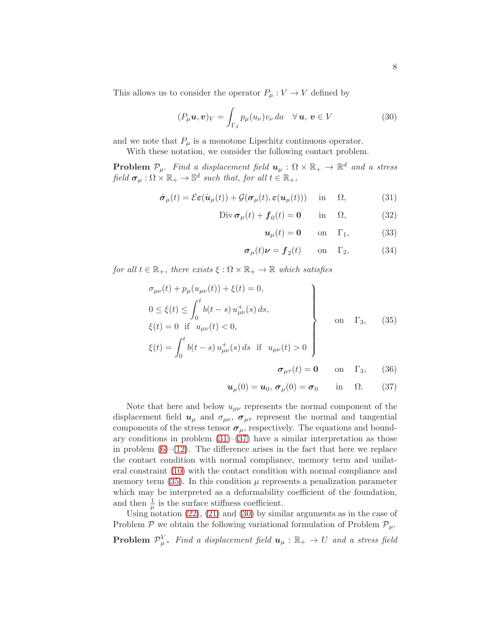This allows us to consider the operator  $P_{\mu}: V \to V$  defined by

<span id="page-7-2"></span>
$$
(P_{\mu}\mathbf{u},\mathbf{v})_V = \int_{\Gamma_3} p_{\mu}(u_{\nu})v_{\nu} da \quad \forall \mathbf{u}, \mathbf{v} \in V \tag{30}
$$

and we note that  $P_{\mu}$  is a monotone Lipschitz continuous operator.

With these notation, we consider the following contact problem.

**Problem**  $\mathcal{P}_{\mu}$ . Find a displacement field  $\mathbf{u}_{\mu} : \Omega \times \mathbb{R}_{+} \to \mathbb{R}^{d}$  and a stress field  $\sigma_{\mu} : \Omega \times \mathbb{R}_{+} \to \mathbb{S}^{d}$  such that, for all  $t \in \mathbb{R}_{+}$ ,

<span id="page-7-0"></span>
$$
\dot{\boldsymbol{\sigma}}_{\mu}(t) = \mathcal{E}\boldsymbol{\varepsilon}(\dot{\boldsymbol{u}}_{\mu}(t)) + \mathcal{G}(\boldsymbol{\sigma}_{\mu}(t), \boldsymbol{\varepsilon}(\boldsymbol{u}_{\mu}(t))) \quad \text{in} \quad \Omega,
$$
 (31)

$$
\text{Div}\,\boldsymbol{\sigma}_{\mu}(t) + \boldsymbol{f}_0(t) = \mathbf{0} \qquad \text{in} \quad \Omega, \tag{32}
$$

$$
\mathbf{u}_{\mu}(t) = \mathbf{0} \qquad \text{on} \quad \Gamma_1,\tag{33}
$$

$$
\sigma_{\mu}(t)\nu = f_2(t) \qquad \text{on} \quad \Gamma_2,
$$
 (34)

for all  $t \in \mathbb{R}_+$ , there exists  $\xi : \Omega \times \mathbb{R}_+ \to \mathbb{R}$  which satisfies

<span id="page-7-1"></span>
$$
\sigma_{\mu\nu}(t) + p_{\mu}(u_{\mu\nu}(t)) + \xi(t) = 0,
$$
  
\n
$$
0 \le \xi(t) \le \int_0^t b(t - s) u_{\mu\nu}^+(s) ds,
$$
  
\n
$$
\xi(t) = 0 \text{ if } u_{\mu\nu}(t) < 0,
$$
  
\n
$$
\xi(t) = \int_0^t b(t - s) u_{\mu\nu}^+(s) ds \text{ if } u_{\mu\nu}(t) > 0
$$

$$
\sigma_{\mu\tau}(t) = \mathbf{0} \qquad \text{on} \quad \Gamma_3, \qquad (36)
$$

$$
\boldsymbol{u}_{\mu}(0)=\boldsymbol{u}_{0}, \boldsymbol{\sigma}_{\mu}(0)=\boldsymbol{\sigma}_{0} \qquad \text{in} \quad \Omega. \qquad (37)
$$

Note that here and below  $u_{\mu\nu}$  represents the normal component of the displacement field  $u_{\mu}$  and  $\sigma_{\mu\nu}$ ,  $\sigma_{\mu\tau}$  represent the normal and tangential components of the stress tensor  $\sigma_{\mu}$ , respectively. The equations and boundary conditions in problem  $(31)$ – $(37)$  have a similar interpretation as those in problem  $(6)$ – $(12)$ . The difference arises in the fact that here we replace the contact condition with normal compliance, memory term and unilateral constraint [\(10\)](#page-3-2) with the contact condition with normal compliance and memory term  $(35)$ . In this condition  $\mu$  represents a penalization parameter which may be interpreted as a deformability coefficient of the foundation, and then  $\frac{1}{\mu}$  is the surface stiffness coefficient.

Using notation  $(22)$ ,  $(21)$  and  $(30)$  by similar arguments as in the case of Problem  $\mathcal P$  we obtain the following variational formulation of Problem  $\mathcal P_\mu$ . **Problem**  $\mathcal{P}_{\mu}^V$ . Find a displacement field  $u_{\mu} : \mathbb{R}_+ \to U$  and a stress field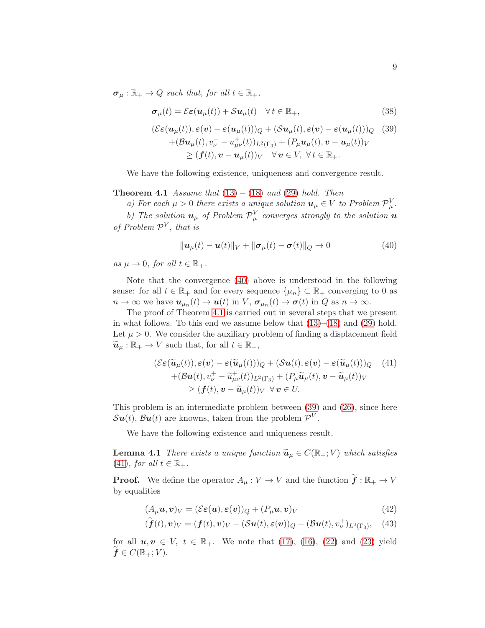$\sigma_u : \mathbb{R}_+ \to Q$  such that, for all  $t \in \mathbb{R}_+$ ,

<span id="page-8-2"></span>
$$
\sigma_{\mu}(t) = \mathcal{E}\varepsilon(\boldsymbol{u}_{\mu}(t)) + \mathcal{S}\boldsymbol{u}_{\mu}(t) \quad \forall \, t \in \mathbb{R}_{+}, \tag{38}
$$

$$
(\mathcal{E}\varepsilon(\mathbf{u}_{\mu}(t)), \varepsilon(\mathbf{v}) - \varepsilon(\mathbf{u}_{\mu}(t)))_{Q} + (\mathcal{S}\mathbf{u}_{\mu}(t), \varepsilon(\mathbf{v}) - \varepsilon(\mathbf{u}_{\mu}(t)))_{Q} \quad (39)
$$
  
+
$$
(\mathcal{B}\mathbf{u}_{\mu}(t), v_{\nu}^{+} - u_{\mu\nu}^{+}(t))_{L^{2}(\Gamma_{3})} + (P_{\mu}\mathbf{u}_{\mu}(t), \mathbf{v} - \mathbf{u}_{\mu}(t))_{V}
$$
  

$$
\geq (\mathbf{f}(t), \mathbf{v} - \mathbf{u}_{\mu}(t))_{V} \quad \forall \mathbf{v} \in V, \forall t \in \mathbb{R}_{+}.
$$

<span id="page-8-1"></span>We have the following existence, uniqueness and convergence result.

**Theorem 4.1** Assume that  $(13) - (18)$  $(13) - (18)$  $(13) - (18)$  and  $(29)$  hold. Then

a) For each  $\mu > 0$  there exists a unique solution  $u_{\mu} \in V$  to Problem  $\mathcal{P}_{\mu}^{V}$ .

b) The solution  $u_{\mu}$  of Problem  $\mathcal{P}_{\mu}^{V}$  converges strongly to the solution  $u$ of Problem  $\mathcal{P}^V$ , that is

<span id="page-8-0"></span>
$$
\|\mathbf{u}_{\mu}(t)-\mathbf{u}(t)\|_{V}+\|\boldsymbol{\sigma}_{\mu}(t)-\boldsymbol{\sigma}(t)\|_{Q}\to 0
$$
\n(40)

as  $\mu \to 0$ , for all  $t \in \mathbb{R}_+$ .

Note that the convergence [\(40\)](#page-8-0) above is understood in the following sense: for all  $t \in \mathbb{R}_+$  and for every sequence  $\{\mu_n\} \subset \mathbb{R}_+$  converging to 0 as  $n \to \infty$  we have  $u_{\mu_n}(t) \to u(t)$  in  $V$ ,  $\sigma_{\mu_n}(t) \to \sigma(t)$  in  $Q$  as  $n \to \infty$ .

The proof of Theorem [4.1](#page-8-1) is carried out in several steps that we present in what follows. To this end we assume below that  $(13)–(18)$  $(13)–(18)$  and  $(29)$  hold. Let  $\mu > 0$ . We consider the auxiliary problem of finding a displacement field  $\widetilde{\mathbf{u}}_{\mu} : \mathbb{R}_{+} \to V$  such that, for all  $t \in \mathbb{R}_{+}$ ,

<span id="page-8-3"></span>
$$
(\mathcal{E}\varepsilon(\widetilde{\boldsymbol{u}}_{\mu}(t)), \varepsilon(\boldsymbol{v}) - \varepsilon(\widetilde{\boldsymbol{u}}_{\mu}(t)))_{Q} + (\mathcal{S}\boldsymbol{u}(t), \varepsilon(\boldsymbol{v}) - \varepsilon(\widetilde{\boldsymbol{u}}_{\mu}(t)))_{Q} \quad (41)
$$
  
+ 
$$
(\mathcal{B}\boldsymbol{u}(t), v_{\nu}^{+} - \widetilde{u}_{\mu\nu}^{+}(t))_{L^{2}(\Gamma_{3})} + (P_{\mu}\widetilde{\boldsymbol{u}}_{\mu}(t), \boldsymbol{v} - \widetilde{\boldsymbol{u}}_{\mu}(t))_{V}
$$
  

$$
\geq (\boldsymbol{f}(t), \boldsymbol{v} - \widetilde{\boldsymbol{u}}_{\mu}(t))_{V} \ \forall \boldsymbol{v} \in U.
$$

This problem is an intermediate problem between [\(39\)](#page-8-2) and [\(26\)](#page-6-2), since here  $\mathcal{S}u(t)$ ,  $\mathcal{B}u(t)$  are knowns, taken from the problem  $\mathcal{P}^V$ .

We have the following existence and uniqueness result.

**Lemma 4.1** There exists a unique function  $\tilde{u}_{\mu} \in C(\mathbb{R}_{+}; V)$  which satisfies  $(41)$ , for all  $t \in \mathbb{R}_+$ .

**Proof.** We define the operator  $A_\mu: V \to V$  and the function  $\tilde{\mathbf{f}}: \mathbb{R}_+ \to V$ by equalities

<span id="page-8-4"></span>
$$
(A_{\mu}\mathbf{u},\mathbf{v})_V = (\mathcal{E}\boldsymbol{\varepsilon}(\mathbf{u}),\boldsymbol{\varepsilon}(\mathbf{v}))_Q + (P_{\mu}\mathbf{u},\mathbf{v})_V
$$
\n(42)

$$
(\widetilde{\boldsymbol{f}}(t),\boldsymbol{v})_V = (\boldsymbol{f}(t),\boldsymbol{v})_V - (\mathcal{S}\boldsymbol{u}(t),\boldsymbol{\varepsilon}(\boldsymbol{v}))_Q - (\mathcal{B}\boldsymbol{u}(t),v_{\nu}^+)_{L^2(\Gamma_3)},\quad(43)
$$

for all  $u, v \in V$ ,  $t \in \mathbb{R}_+$ . We note that [\(17\)](#page-5-4), [\(16\)](#page-4-3), [\(22\)](#page-5-3) and [\(23\)](#page-5-5) yield  $f \in C(\mathbb{R}_+; V)$ .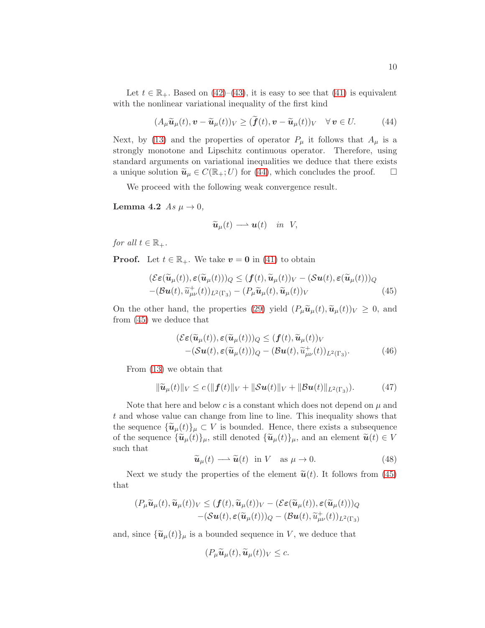Let  $t \in \mathbb{R}_+$ . Based on [\(42\)](#page-8-4)–[\(43\)](#page-8-4), it is easy to see that [\(41\)](#page-8-3) is equivalent with the nonlinear variational inequality of the first kind

<span id="page-9-0"></span>
$$
(A_{\mu}\widetilde{\boldsymbol{u}}_{\mu}(t),\boldsymbol{v}-\widetilde{\boldsymbol{u}}_{\mu}(t))_V \geq (\widetilde{\boldsymbol{f}}(t),\boldsymbol{v}-\widetilde{\boldsymbol{u}}_{\mu}(t))_V \quad \forall \,\boldsymbol{v}\in U. \tag{44}
$$

Next, by [\(13\)](#page-4-1) and the properties of operator  $P_{\mu}$  it follows that  $A_{\mu}$  is a strongly monotone and Lipschitz continuous operator. Therefore, using standard arguments on variational inequalities we deduce that there exists a unique solution  $\tilde{u}_{\mu} \in C(\mathbb{R}_+; U)$  for [\(44\)](#page-9-0), which concludes the proof.  $\Box$ 

We proceed with the following weak convergence result.

**Lemma 4.2** As 
$$
\mu \to 0
$$
,

<span id="page-9-3"></span>
$$
\widetilde{\boldsymbol{u}}_{\mu}(t) \longrightarrow \boldsymbol{u}(t) \quad in \ \ V,
$$

for all  $t \in \mathbb{R}_+$ .

**Proof.** Let  $t \in \mathbb{R}_+$ . We take  $v = 0$  in [\(41\)](#page-8-3) to obtain

<span id="page-9-1"></span>
$$
(\mathcal{E}\varepsilon(\widetilde{\boldsymbol{u}}_{\mu}(t)), \varepsilon(\widetilde{\boldsymbol{u}}_{\mu}(t)))_{Q} \leq (\boldsymbol{f}(t), \widetilde{\boldsymbol{u}}_{\mu}(t))_{V} - (\mathcal{S}\boldsymbol{u}(t), \varepsilon(\widetilde{\boldsymbol{u}}_{\mu}(t)))_{Q}
$$

$$
-(\mathcal{B}\boldsymbol{u}(t), \widetilde{\boldsymbol{u}}_{\mu\nu}^+(t))_{L^2(\Gamma_3)} - (P_{\mu}\widetilde{\boldsymbol{u}}_{\mu}(t), \widetilde{\boldsymbol{u}}_{\mu}(t))_{V}
$$
(45)

On the other hand, the properties [\(29\)](#page-6-3) yield  $(P_\mu \tilde{\boldsymbol{u}}_\mu(t), \tilde{\boldsymbol{u}}_\mu(t))_V \geq 0$ , and from [\(45\)](#page-9-1) we deduce that

$$
(\mathcal{E}\varepsilon(\widetilde{\boldsymbol{u}}_{\mu}(t)), \varepsilon(\widetilde{\boldsymbol{u}}_{\mu}(t)))_{Q} \leq (\boldsymbol{f}(t), \widetilde{\boldsymbol{u}}_{\mu}(t))_{V} -(\mathcal{S}\boldsymbol{u}(t), \varepsilon(\widetilde{\boldsymbol{u}}_{\mu}(t)))_{Q} - (\mathcal{B}\boldsymbol{u}(t), \widetilde{\boldsymbol{u}}_{\mu\nu}^+(t))_{L^2(\Gamma_3)}.
$$
 (46)

From [\(13\)](#page-4-1) we obtain that

<span id="page-9-4"></span>
$$
\|\widetilde{\boldsymbol{u}}_{\mu}(t)\|_{V} \leq c \left( \|\boldsymbol{f}(t)\|_{V} + \|\mathcal{S}\boldsymbol{u}(t)\|_{V} + \|\mathcal{B}\boldsymbol{u}(t)\|_{L^{2}(\Gamma_{3})}\right). \tag{47}
$$

Note that here and below c is a constant which does not depend on  $\mu$  and t and whose value can change from line to line. This inequality shows that the sequence  $\{\tilde{\mathbf{u}}_{\mu}(t)\}_{\mu} \subset V$  is bounded. Hence, there exists a subsequence of the sequence  $\{\tilde{\mathbf{u}}_{\mu}(t)\}_{\mu}$ , still denoted  $\{\tilde{\mathbf{u}}_{\mu}(t)\}_{\mu}$ , and an element  $\tilde{\mathbf{u}}(t) \in V$ such that

<span id="page-9-2"></span>
$$
\widetilde{\boldsymbol{u}}_{\mu}(t) \longrightarrow \widetilde{\boldsymbol{u}}(t) \quad \text{in } V \quad \text{as } \mu \to 0. \tag{48}
$$

Next we study the properties of the element  $\tilde{\boldsymbol{u}}(t)$ . It follows from [\(45\)](#page-9-1) that

$$
(P_{\mu}\widetilde{\mathbf{u}}_{\mu}(t),\widetilde{\mathbf{u}}_{\mu}(t))_{V} \leq (\mathbf{f}(t),\widetilde{\mathbf{u}}_{\mu}(t))_{V} - (\mathcal{E}\boldsymbol{\varepsilon}(\widetilde{\mathbf{u}}_{\mu}(t)),\boldsymbol{\varepsilon}(\widetilde{\mathbf{u}}_{\mu}(t)))_{Q} -(\mathcal{S}\mathbf{u}(t),\boldsymbol{\varepsilon}(\widetilde{\mathbf{u}}_{\mu}(t)))_{Q} - (\mathcal{B}\mathbf{u}(t),\widetilde{\mathbf{u}}_{\mu\nu}^{+}(t))_{L^{2}(\Gamma_{3})}
$$

and, since  ${\tilde{u}_{\mu}(t)}_{\mu}$  is a bounded sequence in V, we deduce that

$$
(P_{\mu}\widetilde{\boldsymbol{u}}_{\mu}(t),\widetilde{\boldsymbol{u}}_{\mu}(t))_V\leq c.
$$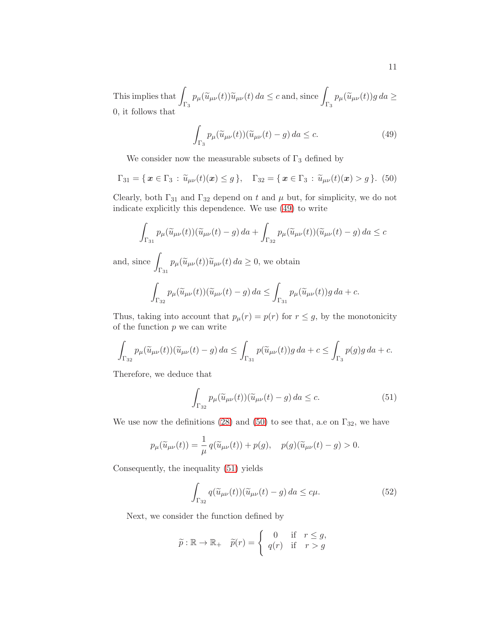This implies that  $\int_{\Gamma_3} p_\mu(\widetilde{u}_{\mu\nu}(t)) \widetilde{u}_{\mu\nu}(t) da \leq c$  and, since  $\int_{\Gamma_3} p_\mu(\widetilde{u}_{\mu\nu}(t)) g da \geq$ 0, it follows that

<span id="page-10-0"></span>
$$
\int_{\Gamma_3} p_\mu(\widetilde{u}_{\mu\nu}(t))(\widetilde{u}_{\mu\nu}(t) - g) da \le c.
$$
 (49)

We consider now the measurable subsets of  $\Gamma_3$  defined by

<span id="page-10-1"></span>
$$
\Gamma_{31} = \{ \, \boldsymbol{x} \in \Gamma_3 \, : \, \widetilde{u}_{\mu\nu}(t)(\boldsymbol{x}) \leq g \, \}, \quad \Gamma_{32} = \{ \, \boldsymbol{x} \in \Gamma_3 \, : \, \widetilde{u}_{\mu\nu}(t)(\boldsymbol{x}) > g \, \}. \tag{50}
$$

Clearly, both  $\Gamma_{31}$  and  $\Gamma_{32}$  depend on t and  $\mu$  but, for simplicity, we do not indicate explicitly this dependence. We use [\(49\)](#page-10-0) to write

$$
\int_{\Gamma_{31}} p_{\mu}(\widetilde{u}_{\mu\nu}(t))(\widetilde{u}_{\mu\nu}(t) - g) da + \int_{\Gamma_{32}} p_{\mu}(\widetilde{u}_{\mu\nu}(t))(\widetilde{u}_{\mu\nu}(t) - g) da \leq c
$$

and, since  $\int$  $\int_{\Gamma_{31}} p_{\mu}(\widetilde{u}_{\mu\nu}(t))\widetilde{u}_{\mu\nu}(t) da \geq 0$ , we obtain

$$
\int_{\Gamma_{32}} p_{\mu}(\widetilde{u}_{\mu\nu}(t))(\widetilde{u}_{\mu\nu}(t) - g) da \leq \int_{\Gamma_{31}} p_{\mu}(\widetilde{u}_{\mu\nu}(t)) g da + c.
$$

Thus, taking into account that  $p_{\mu}(r) = p(r)$  for  $r \leq g$ , by the monotonicity of the function  $p$  we can write

$$
\int_{\Gamma_{32}} p_\mu(\widetilde{u}_{\mu\nu}(t))(\widetilde{u}_{\mu\nu}(t) - g) da \le \int_{\Gamma_{31}} p(\widetilde{u}_{\mu\nu}(t))g da + c \le \int_{\Gamma_3} p(g)g da + c.
$$

Therefore, we deduce that

<span id="page-10-2"></span>
$$
\int_{\Gamma_{32}} p_{\mu}(\widetilde{u}_{\mu\nu}(t))(\widetilde{u}_{\mu\nu}(t) - g) da \leq c.
$$
 (51)

We use now the definitions [\(28\)](#page-6-4) and [\(50\)](#page-10-1) to see that, a.e on  $\Gamma_{32}$ , we have

$$
p_{\mu}(\widetilde{u}_{\mu\nu}(t)) = \frac{1}{\mu} q(\widetilde{u}_{\mu\nu}(t)) + p(g), \quad p(g)(\widetilde{u}_{\mu\nu}(t) - g) > 0.
$$

Consequently, the inequality [\(51\)](#page-10-2) yields

<span id="page-10-3"></span>
$$
\int_{\Gamma_{32}} q(\widetilde{u}_{\mu\nu}(t))(\widetilde{u}_{\mu\nu}(t) - g) da \leq c\mu.
$$
 (52)

Next, we consider the function defined by

$$
\widetilde{p} : \mathbb{R} \to \mathbb{R}, \quad \widetilde{p}(r) = \begin{cases} 0 & \text{if} \quad r \leq g, \\ q(r) & \text{if} \quad r > g \end{cases}
$$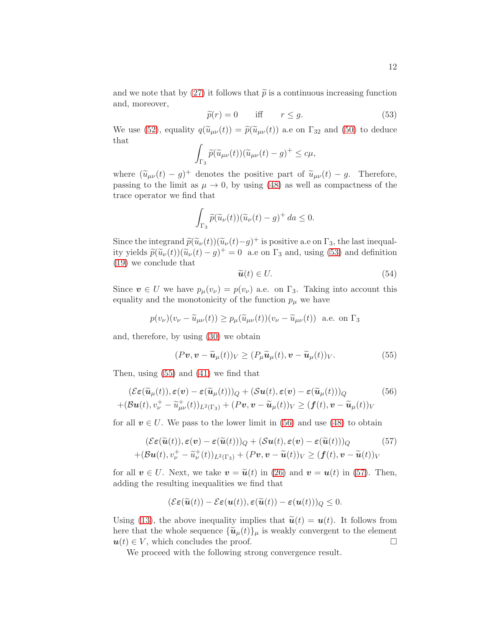and we note that by [\(27\)](#page-6-5) it follows that  $\tilde{p}$  is a continuous increasing function and, moreover,

<span id="page-11-0"></span>
$$
\widetilde{p}(r) = 0 \quad \text{iff} \quad r \le g. \tag{53}
$$

We use [\(52\)](#page-10-3), equality  $q(\tilde{u}_{\mu\nu}(t)) = \tilde{p}(\tilde{u}_{\mu\nu}(t))$  a.e on  $\Gamma_{32}$  and [\(50\)](#page-10-1) to deduce that

$$
\int_{\Gamma_3} \widetilde{p}(\widetilde{u}_{\mu\nu}(t))(\widetilde{u}_{\mu\nu}(t)-g)^+\leq c\mu,
$$

where  $(\tilde{u}_{\mu\nu}(t) - g)^+$  denotes the positive part of  $\tilde{u}_{\mu\nu}(t) - g$ . Therefore, passing to the limit as  $\mu \to 0$ , by using [\(48\)](#page-9-2) as well as compactness of the trace operator we find that

$$
\int_{\Gamma_3} \widetilde{p}(\widetilde{u}_{\nu}(t))(\widetilde{u}_{\nu}(t) - g)^+ da \le 0.
$$

Since the integrand  $\tilde{p}(\tilde{u}_{\nu}(t))(\tilde{u}_{\nu}(t)-g)^+$  is positive a.e on  $\Gamma_3$ , the last inequal-<br> $\tilde{u}_{\nu}(t) \geq (u)(\tilde{u}_{\nu}(t)) + 0$ ity yields  $\tilde{p}(\tilde{u}_{\nu}(t))(\tilde{u}_{\nu}(t) - g)^{+} = 0$  a.e on  $\Gamma_3$  and, using [\(53\)](#page-11-0) and definition [\(19\)](#page-5-2) we conclude that

$$
\widetilde{\boldsymbol{u}}(t) \in U. \tag{54}
$$

Since  $\mathbf{v} \in U$  we have  $p_{\mu}(v_{\nu}) = p(v_{\nu})$  a.e. on  $\Gamma_3$ . Taking into account this equality and the monotonicity of the function  $p_{\mu}$  we have

$$
p(v_{\nu})(v_{\nu} - \widetilde{u}_{\mu\nu}(t)) \ge p_{\mu}(\widetilde{u}_{\mu\nu}(t))(v_{\nu} - \widetilde{u}_{\mu\nu}(t))
$$
 a.e. on  $\Gamma_3$ 

and, therefore, by using [\(30\)](#page-7-2) we obtain

<span id="page-11-1"></span>
$$
(Pv, v - \widetilde{u}_{\mu}(t))_V \ge (P_{\mu} \widetilde{u}_{\mu}(t), v - \widetilde{u}_{\mu}(t))_V.
$$
 (55)

Then, using [\(55\)](#page-11-1) and [\(41\)](#page-8-3) we find that

<span id="page-11-2"></span>
$$
(\mathcal{E}\varepsilon(\widetilde{\boldsymbol{u}}_{\mu}(t)), \varepsilon(\boldsymbol{v}) - \varepsilon(\widetilde{\boldsymbol{u}}_{\mu}(t)))_{Q} + (\mathcal{S}\boldsymbol{u}(t), \varepsilon(\boldsymbol{v}) - \varepsilon(\widetilde{\boldsymbol{u}}_{\mu}(t)))_{Q} \qquad (56)
$$
  
+
$$
(\mathcal{B}\boldsymbol{u}(t), v_{\nu}^{+} - \widetilde{u}_{\mu\nu}^{+}(t))_{L^{2}(\Gamma_{3})} + (\mathcal{P}\boldsymbol{v}, \boldsymbol{v} - \widetilde{\boldsymbol{u}}_{\mu}(t))_{V} \geq (\boldsymbol{f}(t), \boldsymbol{v} - \widetilde{\boldsymbol{u}}_{\mu}(t))_{V}
$$

for all  $v \in U$ . We pass to the lower limit in [\(56\)](#page-11-2) and use [\(48\)](#page-9-2) to obtain

<span id="page-11-3"></span>
$$
(\mathcal{E}\varepsilon(\widetilde{\boldsymbol{u}}(t)), \varepsilon(\boldsymbol{v}) - \varepsilon(\widetilde{\boldsymbol{u}}(t)))_{Q} + (\mathcal{S}\boldsymbol{u}(t), \varepsilon(\boldsymbol{v}) - \varepsilon(\widetilde{\boldsymbol{u}}(t)))_{Q} \qquad (57)
$$
  
+ 
$$
(\mathcal{B}\boldsymbol{u}(t), v_{\nu}^{+} - \widetilde{u}_{\nu}^{+}(t))_{L^{2}(\Gamma_{3})} + (P\boldsymbol{v}, \boldsymbol{v} - \widetilde{\boldsymbol{u}}(t))_{V} \ge (\boldsymbol{f}(t), \boldsymbol{v} - \widetilde{\boldsymbol{u}}(t))_{V}
$$

for all  $v \in U$ . Next, we take  $v = \tilde{u}(t)$  in [\(26\)](#page-6-2) and  $v = u(t)$  in [\(57\)](#page-11-3). Then, adding the resulting inequalities we find that

<span id="page-11-4"></span>
$$
(\mathcal{E}\boldsymbol{\varepsilon}(\widetilde{\boldsymbol{u}}(t))-\mathcal{E}\boldsymbol{\varepsilon}(\boldsymbol{u}(t)),\boldsymbol{\varepsilon}(\widetilde{\boldsymbol{u}}(t))-\boldsymbol{\varepsilon}(\boldsymbol{u}(t)))_Q\leq 0.
$$

Using [\(13\)](#page-4-1), the above inequality implies that  $\tilde{u}(t) = u(t)$ . It follows from here that the whole sequence  ${\tilde{u}_{\mu}(t)}_{\mu}$  is weakly convergent to the element  $u(t) \in V$ , which concludes the proof.  $u(t) \in V$ , which concludes the proof.

We proceed with the following strong convergence result.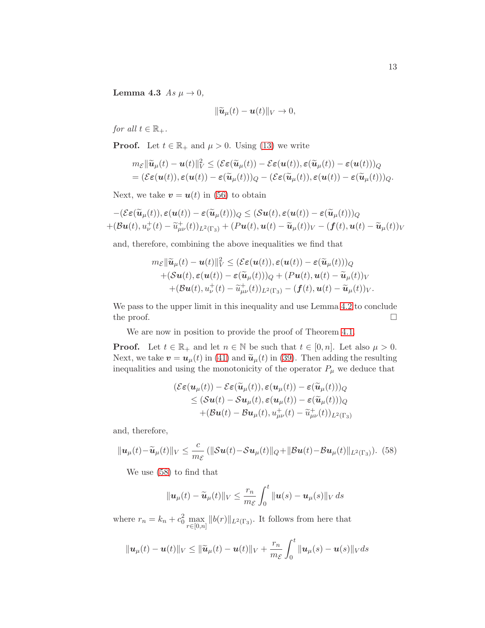Lemma 4.3  $As \mu \rightarrow 0$ ,

$$
\|\widetilde{\boldsymbol{u}}_{\mu}(t)-\boldsymbol{u}(t)\|_{V}\to 0,
$$

for all  $t \in \mathbb{R}_+$ .

**Proof.** Let  $t \in \mathbb{R}_+$  and  $\mu > 0$ . Using [\(13\)](#page-4-1) we write

$$
m_{\mathcal{E}} \|\widetilde{\boldsymbol{u}}_{\mu}(t) - \boldsymbol{u}(t)\|_{V}^{2} \leq (\mathcal{E}\boldsymbol{\varepsilon}(\widetilde{\boldsymbol{u}}_{\mu}(t)) - \mathcal{E}\boldsymbol{\varepsilon}(\boldsymbol{u}(t)), \boldsymbol{\varepsilon}(\widetilde{\boldsymbol{u}}_{\mu}(t)) - \boldsymbol{\varepsilon}(\boldsymbol{u}(t)))_{Q}
$$
  
=  $(\mathcal{E}\boldsymbol{\varepsilon}(\boldsymbol{u}(t)), \boldsymbol{\varepsilon}(\boldsymbol{u}(t)) - \boldsymbol{\varepsilon}(\widetilde{\boldsymbol{u}}_{\mu}(t)))_{Q} - (\mathcal{E}\boldsymbol{\varepsilon}(\widetilde{\boldsymbol{u}}_{\mu}(t)), \boldsymbol{\varepsilon}(\boldsymbol{u}(t)) - \boldsymbol{\varepsilon}(\widetilde{\boldsymbol{u}}_{\mu}(t)))_{Q}.$ 

Next, we take  $\mathbf{v} = \mathbf{u}(t)$  in [\(56\)](#page-11-2) to obtain

$$
-(\mathcal{E}\boldsymbol{\varepsilon}(\widetilde{\boldsymbol{u}}_{\mu}(t)),\boldsymbol{\varepsilon}(\boldsymbol{u}(t))-\boldsymbol{\varepsilon}(\widetilde{\boldsymbol{u}}_{\mu}(t)))_{Q} \leq (\mathcal{S}\boldsymbol{u}(t),\boldsymbol{\varepsilon}(\boldsymbol{u}(t))-\boldsymbol{\varepsilon}(\widetilde{\boldsymbol{u}}_{\mu}(t)))_{Q} +(\mathcal{B}\boldsymbol{u}(t),\boldsymbol{u}_{\nu}^{+}(t)-\widetilde{\boldsymbol{u}}_{\mu\nu}^{+}(t))_{L^{2}(\Gamma_{3})}+(\mathcal{P}\boldsymbol{u}(t),\boldsymbol{u}(t)-\widetilde{\boldsymbol{u}}_{\mu}(t))_{V}-(\boldsymbol{f}(t),\boldsymbol{u}(t)-\widetilde{\boldsymbol{u}}_{\mu}(t))_{V}
$$

and, therefore, combining the above inequalities we find that

$$
m_{\mathcal{E}}\|\widetilde{\boldsymbol{u}}_{\mu}(t)-\boldsymbol{u}(t)\|_{V}^{2} \leq (\mathcal{E}\boldsymbol{\varepsilon}(\boldsymbol{u}(t)), \boldsymbol{\varepsilon}(\boldsymbol{u}(t)) - \boldsymbol{\varepsilon}(\widetilde{\boldsymbol{u}}_{\mu}(t)))_{Q} + (\mathcal{S}\boldsymbol{u}(t), \boldsymbol{\varepsilon}(\boldsymbol{u}(t)) - \boldsymbol{\varepsilon}(\widetilde{\boldsymbol{u}}_{\mu}(t)))_{Q} + (\mathcal{P}\boldsymbol{u}(t), \boldsymbol{u}(t) - \widetilde{\boldsymbol{u}}_{\mu}(t))_{V} + (\mathcal{B}\boldsymbol{u}(t), u_{\nu}^{+}(t) - \widetilde{u}_{\mu\nu}^{+}(t))_{L^{2}(\Gamma_{3})} - (\boldsymbol{f}(t), \boldsymbol{u}(t) - \widetilde{\boldsymbol{u}}_{\mu}(t))_{V}.
$$

We pass to the upper limit in this inequality and use Lemma [4.2](#page-9-3) to conclude the proof.  $\Box$ 

We are now in position to provide the proof of Theorem [4.1.](#page-8-1)

**Proof.** Let  $t \in \mathbb{R}_+$  and let  $n \in \mathbb{N}$  be such that  $t \in [0, n]$ . Let also  $\mu > 0$ . Next, we take  $\mathbf{v} = \mathbf{u}_{\mu}(t)$  in [\(41\)](#page-8-3) and  $\widetilde{\mathbf{u}}_{\mu}(t)$  in [\(39\)](#page-8-2). Then adding the resulting inequalities and using the monotonicity of the operator  $P_{\mu}$  we deduce that

$$
\begin{aligned} (\mathcal{E}\varepsilon(\boldsymbol{u}_{\mu}(t)) - \mathcal{E}\varepsilon(\widetilde{\boldsymbol{u}}_{\mu}(t)), \varepsilon(\boldsymbol{u}_{\mu}(t)) - \varepsilon(\widetilde{\boldsymbol{u}}_{\mu}(t)))_{Q} \\ \leq (\mathcal{S}\boldsymbol{u}(t) - \mathcal{S}\boldsymbol{u}_{\mu}(t), \varepsilon(\boldsymbol{u}_{\mu}(t)) - \varepsilon(\widetilde{\boldsymbol{u}}_{\mu}(t)))_{Q} \\ + (\mathcal{B}\boldsymbol{u}(t) - \mathcal{B}\boldsymbol{u}_{\mu}(t), \boldsymbol{u}_{\mu\nu}^{+}(t) - \widetilde{\boldsymbol{u}}_{\mu\nu}^{+}(t))_{L^{2}(\Gamma_{3})} \end{aligned}
$$

and, therefore,

<span id="page-12-0"></span>
$$
\|\mathbf{u}_{\mu}(t)-\widetilde{\mathbf{u}}_{\mu}(t)\|_{V} \leq \frac{c}{m_{\mathcal{E}}} \left( \|\mathcal{S}\mathbf{u}(t)-\mathcal{S}\mathbf{u}_{\mu}(t)\|_{Q}+\|\mathcal{B}\mathbf{u}(t)-\mathcal{B}\mathbf{u}_{\mu}(t)\|_{L^{2}(\Gamma_{3})}\right). (58)
$$

We use [\(58\)](#page-12-0) to find that

$$
\|\mathbf{u}_{\mu}(t)-\widetilde{\mathbf{u}}_{\mu}(t)\|_{V}\leq\frac{r_{n}}{m_{\mathcal{E}}}\int_{0}^{t}\|\mathbf{u}(s)-\mathbf{u}_{\mu}(s)\|_{V} ds
$$

where  $r_n = k_n + c_0^2 \max_{r \in [0,n]} ||b(r)||_{L^2(\Gamma_3)}$ . It follows from here that

$$
\|\mathbf{u}_{\mu}(t)-\mathbf{u}(t)\|_{V}\leq \|\widetilde{\mathbf{u}}_{\mu}(t)-\mathbf{u}(t)\|_{V}+\frac{r_{n}}{m_{\mathcal{E}}}\int_{0}^{t}\|\mathbf{u}_{\mu}(s)-\mathbf{u}(s)\|_{V}ds
$$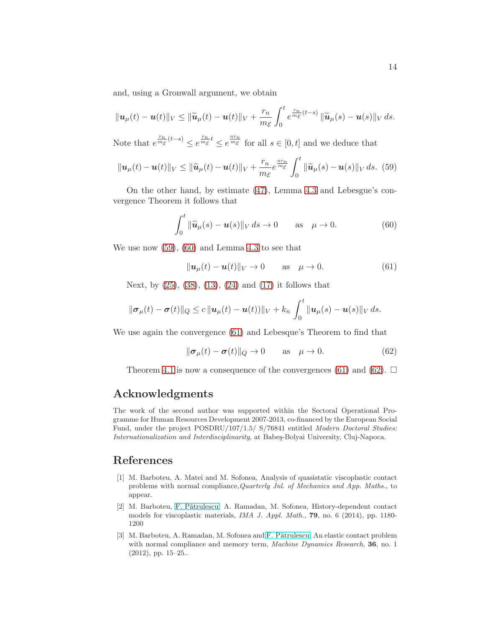and, using a Gronwall argument, we obtain

$$
\|\mathbf{u}_{\mu}(t)-\mathbf{u}(t)\|_{V}\leq \|\widetilde{\mathbf{u}}_{\mu}(t)-\mathbf{u}(t)\|_{V}+\frac{r_{n}}{m_{\mathcal{E}}}\int_{0}^{t}e^{\frac{r_{n}}{m_{\mathcal{E}}}(t-s)}\|\widetilde{\mathbf{u}}_{\mu}(s)-\mathbf{u}(s)\|_{V} ds.
$$

Note that  $e^{\frac{r_n}{m_{\mathcal{E}}}(t-s)} \leq e^{\frac{r_n}{m_{\mathcal{E}}}} \leq e^{\frac{nr_n}{m_{\mathcal{E}}}}$  for all  $s \in [0, t]$  and we deduce that

<span id="page-13-2"></span>
$$
\|\boldsymbol{u}_{\mu}(t)-\boldsymbol{u}(t)\|_{V} \leq \|\widetilde{\boldsymbol{u}}_{\mu}(t)-\boldsymbol{u}(t)\|_{V} + \frac{r_{n}}{m_{\mathcal{E}}}e^{\frac{n r_{n}}{m_{\mathcal{E}}}}\int_{0}^{t}\|\widetilde{\boldsymbol{u}}_{\mu}(s)-\boldsymbol{u}(s)\|_{V} ds. (59)
$$

On the other hand, by estimate [\(47\)](#page-9-4), Lemma [4.3](#page-11-4) and Lebesgue's convergence Theorem it follows that

<span id="page-13-3"></span>
$$
\int_0^t \|\widetilde{\boldsymbol{u}}_{\mu}(s) - \boldsymbol{u}(s)\|_V \, ds \to 0 \qquad \text{as} \quad \mu \to 0. \tag{60}
$$

We use now [\(59\)](#page-13-2), [\(60\)](#page-13-3) and Lemma [4.3](#page-11-4) to see that

<span id="page-13-4"></span>
$$
\|\mathbf{u}_{\mu}(t)-\mathbf{u}(t)\|_{V}\to 0 \quad \text{as} \quad \mu\to 0. \tag{61}
$$

Next, by [\(25\)](#page-6-2), [\(38\)](#page-8-2), [\(13\)](#page-4-1), [\(24\)](#page-5-6) and [\(17\)](#page-5-4) it follows that

$$
\|\boldsymbol{\sigma}_{\mu}(t)-\boldsymbol{\sigma}(t)\|_{Q} \leq c\,\|\boldsymbol{u}_{\mu}(t)-\boldsymbol{u}(t))\|_{V}+k_{n}\,\int_{0}^{t}\|\boldsymbol{u}_{\mu}(s)-\boldsymbol{u}(s)\|_{V}\,ds.
$$

We use again the convergence [\(61\)](#page-13-4) and Lebesque's Theorem to find that

<span id="page-13-5"></span>
$$
\|\boldsymbol{\sigma}_{\mu}(t) - \boldsymbol{\sigma}(t)\|_{Q} \to 0 \quad \text{as} \quad \mu \to 0. \tag{62}
$$

Theorem [4.1](#page-8-1) is now a consequence of the convergences [\(61\)](#page-13-4) and [\(62\)](#page-13-5).  $\Box$ 

## Acknowledgments

The work of the second author was supported within the Sectoral Operational Programme for Human Resources Development 2007-2013, co-financed by the European Social Fund, under the project POSDRU/107/1.5/ S/76841 entitled Modern Doctoral Studies: Internationalization and Interdisciplinarity, at Babes-Bolyai University, Cluj-Napoca.

## <span id="page-13-0"></span>References

- [1] M. Barboteu, A. Matei and M. Sofonea, Analysis of quasistatic viscoplastic contact problems with normal compliance,Quarterly Jnl. of Mechanics and App. Maths., to appear.
- <span id="page-13-1"></span>[2] M. Barboteu, [F. P˘atrulescu,](http://ictp.acad.ro/patrulescu/index.htm) A. Ramadan, M. Sofonea, History-dependent contact models for viscoplastic materials, IMA J. Appl. Math., 79, no. 6 (2014), pp. 1180- 1200
- [3] M. Barboteu, A. Ramadan, M. Sofonea and F. Pătrulescu, An elastic contact problem with normal compliance and memory term, *Machine Dynamics Research*, **36**, no. 1 (2012), pp. 15–25..